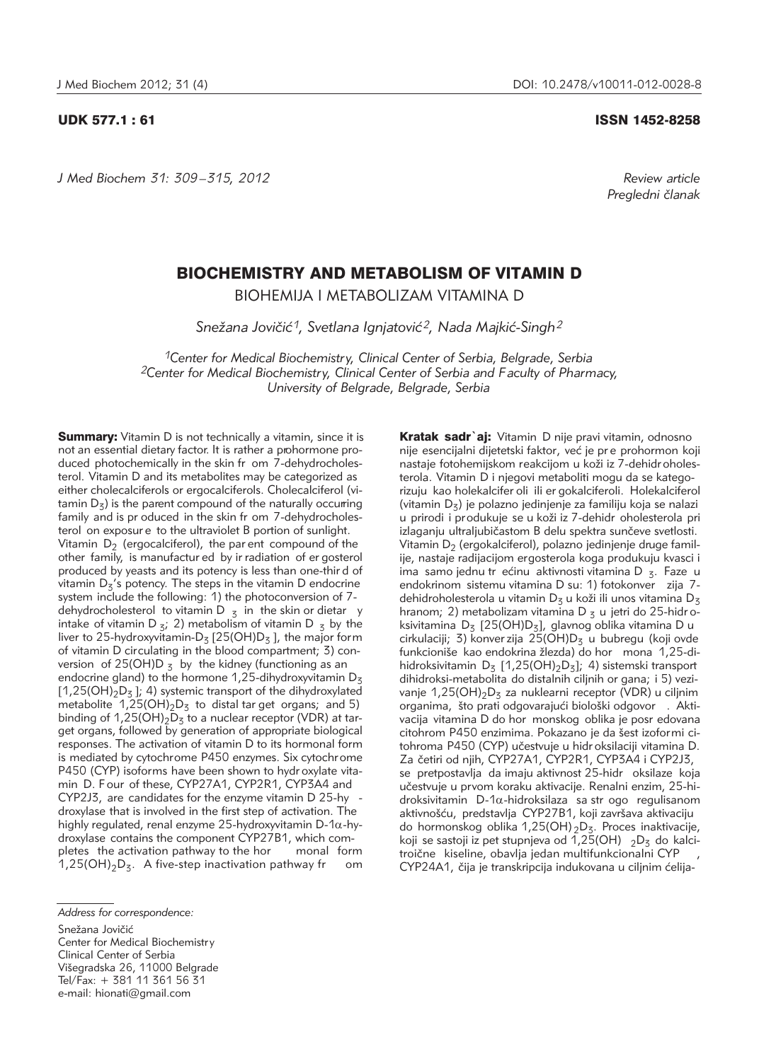*J Med Biochem 31: 309 –315, 2012 Review article*

# UDK 577.1 : 61 ISSN 1452-8258

*Pregledni ~lanak*

# BIOCHEMISTRY AND METABOLISM OF VITAMIN D

BIOHEMIJA I METABOLIZAM VITAMINA D

Snežana Jovičić<sup>1</sup>, Svetlana Ignjatović<sup>2</sup>, Nada Majkić-Singh<sup>2</sup>

*1Center for Medical Biochemistry, Clinical Center of Serbia, Belgrade, Serbia 2Center for Medical Biochemistry, Clinical Center of Serbia and Faculty of Pharmacy, University of Belgrade, Belgrade, Serbia*

**Summary:** Vitamin D is not technically a vitamin, since it is not an essential dietary factor. It is rather a prohormone produced photochemically in the skin fr om 7-dehydrocholesterol. Vitamin D and its metabolites may be categorized as either cholecalciferols or ergocalciferols. Cholecalciferol (vi tamin  $D_5$ ) is the parent compound of the naturally occurring family and is pr oduced in the skin fr om 7-dehydrocholesterol on exposur e to the ultraviolet B portion of sunlight. Vitamin  $D_2$  (ergocalciferol), the par ent compound of the other family, is manufactur ed by ir radiation of er gosterol produced by yeasts and its potency is less than one-thir d of vitamin  $D_5$ 's potency. The steps in the vitamin D endocrine system include the following: 1) the photoconversion of 7 dehydrocholesterol to vitamin D  $_3$  in the skin or dietar y intake of vitamin D  $z_i$ ; 2) metabolism of vitamin D  $z_i$  by the liver to 25-hydroxyvitamin- $D_5$  [25(OH) $D_5$ ], the major form of vitamin D circulating in the blood compartment; 3) conversion of 25(OH)D  $<sub>z</sub>$  by the kidney (functioning as an</sub> endocrine gland) to the hormone 1,25-dihydroxyvitamin  $D_3$ [1,25(OH)<sub>2</sub>D<sub>3</sub>]; 4) systemic transport of the dihydroxylated metabolite  $1,25(OH)_2D_3$  to distal tar get organs; and 5) binding of 1,25(OH)<sub>2</sub>D<sub>3</sub> to a nuclear receptor (VDR) at target organs, followed by generation of appropriate biological responses. The activation of vitamin D to its hormonal form is mediated by cytochrome P450 enzymes. Six cytochrome P450 (CYP) isoforms have been shown to hydr oxylate vitamin D. Four of these, CYP27A1, CYP2R1, CYP3A4 and CYP2J3, are candidates for the enzyme vitamin D 25-hy droxylase that is involved in the first step of activation. The highly regulated, renal enzyme 25-hydroxyvitamin D-1 $\alpha$ -hydro xylase contains the component CYP27B1, which completes the activation pathway to the hor monal form  $1,25(OH)_2D_3$ . A five-step inactivation pathway fr om

Kratak sadr'aj: Vitamin D nije pravi vitamin, odnosno nije esencijalni dijetetski faktor, već je pr e prohormon koji

Snežana Jovičić

Center for Medical Biochemistry Clinical Center of Serbia Višegradska 26, 11000 Belgrade Tel/Fax: + 381 11 361 56 31 e-mail: hionati@gmail.com

nastaje fotohemijskom reakcijom u koži iz 7-dehidr oholesterola. Vitamin D i njegovi metaboliti mogu da se kategorizuju kao holekalcifer oli ili er gokalciferoli. Holekalciferol (vitamin  $D_7$ ) je polazno jedinjenje za familiju koja se nalazi u prirodi i produkuje se u koži iz 7-dehidr oholesterola pri izlaganju ultraljubičastom B delu spektra sunčeve svetlosti. Vitamin  $D<sub>2</sub>$  (ergokalciferol), polazno jedinjenje druge familije, nastaje radijacijom ergosterola koga produkuju kvasci i ima samo jednu tr ećinu aktivnosti vitamina D  $_7$ . Faze u endokrinom sistemu vitamina D su: 1) fotokonver zija 7dehidroholesterola u vitamin D<sub>3</sub> u koži ili unos vitamina D<sub>3</sub> hranom; 2) metabolizam vitamina D  $<sub>z</sub>$  u jetri do 25-hidr o-</sub> ksivitamina  $D_5$  [25(OH) $D_5$ ], glavnog oblika vitamina D u cirkulaciji; 3) konver zija 25(OH) $D_3$  u bubregu (koji ovde funkcioniše kao endokrina žlezda) do hor mona 1,25-dihidroksivitamin  $D_5$  [1,25(OH)<sub>2</sub>D<sub>3</sub>]; 4) sistemski transport dihidroksi-metabolita do distalnih ciljnih or gana; i 5) vezivanje 1,25(OH)<sub>2</sub>D<sub>3</sub> za nuklearni receptor (VDR) u ciljnim organima, što prati odgovarajući biološki odgovor . Aktivacija vitamina D do hor monskog oblika je posr edovana citohrom P450 enzimima. Pokazano je da šest izoformi citohroma P450 (CYP) učestvuje u hidroksilaciji vitamina D. Za četiri od njih, CYP27A1, CYP2R1, CYP3A4 i CYP2J3, se pretpostavlja da imaju aktivnost 25-hidr oksilaze koja učestvuje u prvom koraku aktivacije. Renalni enzim, 25-hidroksivitamin  $D-1\alpha$ -hidroksilaza sa strogo regulisanom aktivnošću, predstavlja CYP27B1, koji završava aktivaciju do hormonskog oblika 1,25(OH)  $_2D_3$ . Proces inaktivacije, koji se sastoji iz pet stupnjeva od  $\overline{1,25}$ (OH)  $2D_5$  do kalcitroične kiseline, obavlja jedan multifunkcionalni CYP CYP24A1, čija je transkripcija indukovana u ciljnim ćelija-

*Address for correspondence:*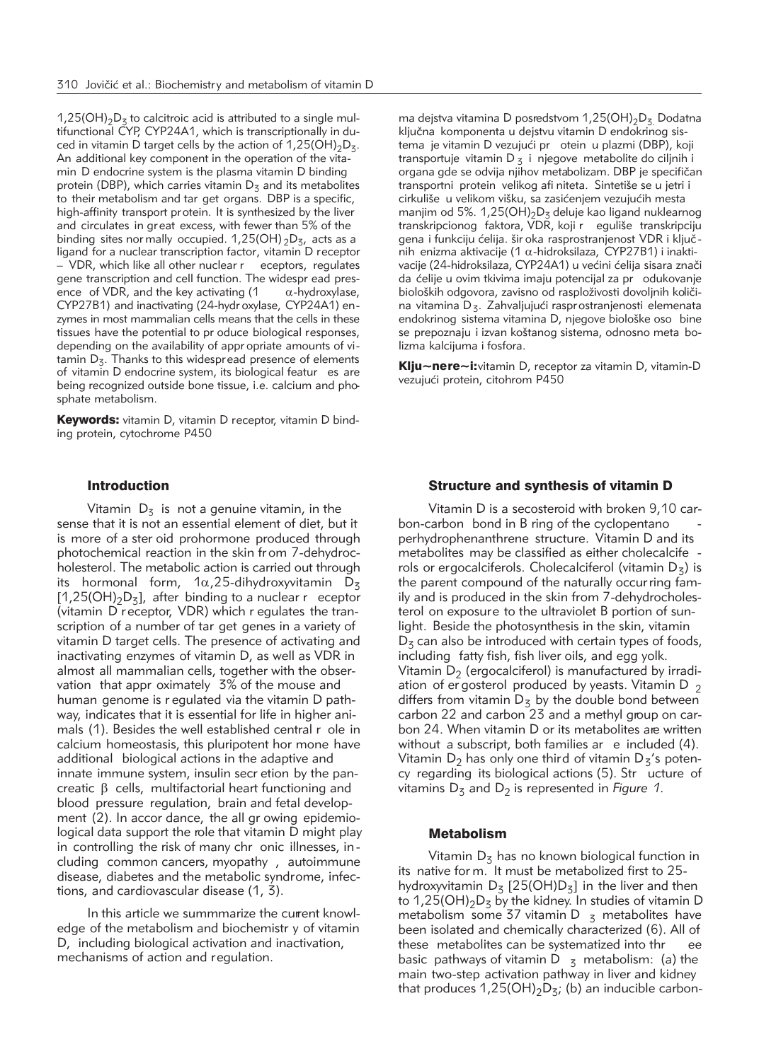$1,25(OH)_2D_5$  to calcitroic acid is attributed to a single multifunctional CYP, CYP24A1, which is transcriptionally in duced in vitamin D target cells by the action of  $1,25(OH)_{2}D_{3}$ . An additional key component in the operation of the vitamin D endocrine system is the plasma vitamin D binding protein (DBP), which carries vitamin  $D<sub>z</sub>$  and its metabolites to their metabolism and tar get organs. DBP is a specific, high-affinity transport protein. It is synthesized by the liver and circulates in gr eat excess, with fewer than 5% of the binding sites nor mally occupied. 1,25(OH)  $_2D_5$ , acts as a ligand for a nuclear transcription factor, vitamin D receptor – VDR, which like all other nuclear r eceptors, regulates gene transcription and cell function. The widespr ead presence of VDR, and the key activating  $(1 - \alpha$ -hydroxylase, CYP27B1) and inactivating (24-hydr oxylase, CYP24A1) en zymes in most mammalian cells means that the cells in these tissues have the potential to pr oduce biological responses, depending on the availability of appr opriate amounts of vi tamin  $D_5$ . Thanks to this widespread presence of elements of vitamin D endocrine system, its biological featur es are being recognized outside bone tissue, i.e. calcium and phosphate metabolism.

Keywords: vitamin D, vitamin D receptor, vitamin D binding protein, cytochrome P450

# Introduction

Vitamin  $D_3$  is not a genuine vitamin, in the sense that it is not an essential element of diet, but it is more of a ster oid prohormone produced through photochemical reaction in the skin fr om 7-dehydrocholesterol. The metabolic action is carried out through its hormonal form,  $1\alpha$ , 25-dihydroxyvitamin D<sub>3</sub>  $[1,25(OH)_2D_3]$ , after binding to a nuclear r eceptor (vitamin D receptor, VDR) which r egulates the transcription of a number of tar get genes in a variety of vitamin D target cells. The presence of activating and inactivating enzymes of vitamin D, as well as VDR in almost all mammalian cells, together with the observation that appr oximately 3% of the mouse and human genome is r egulated via the vitamin D pathway, indicates that it is essential for life in higher animals (1). Besides the well established central r ole in calcium homeostasis, this pluripotent hor mone have additional biological actions in the adaptive and innate immune system, insulin secr etion by the pancreatic  $\beta$  cells, multifactorial heart functioning and blood pressure regulation, brain and fetal development (2). In accor dance, the all gr owing epidemiological data support the role that vitamin D might play in controlling the risk of many chr onic illnesses, including common cancers, myopathy , autoimmune disease, diabetes and the metabolic syndrome, infections, and cardiovascular disease (1, 3).

In this article we summmarize the current knowledge of the metabolism and biochemistr y of vitamin D, including biological activation and inactivation, mechanisms of action and regulation.

ma dejstva vitamina D posredstvom  $1,25(OH)_2D_3$  Dodatna ključna komponenta u dejstvu vitamin D endokrinog sistema je vitamin D vezujući pr otein u plazmi (DBP), koji transportuje vitamin  $D_5$  i njegove metabolite do ciljnih i organa gde se odvija njihov metabolizam. DBP je specifičan transportni protein velikog afi niteta. Sintetiše se u jetri i cirkuliše u velikom višku, sa zasićenjem vezujućih mesta maniim od 5%. 1,25(OH)<sub>2</sub>D<sub>3</sub> deluje kao ligand nuklearnog transkripcionog faktora, VDR, koji r eguliše transkripciju gena i funkciju ćelija. šir oka rasprostranjenost VDR i ključnih enizma aktivacije (1  $\alpha$ -hidroksilaza, CYP27B1) i inaktivacije (24-hidroksilaza, CYP24A1) u većini ćelija sisara znači da }elije u ovim tkivima imaju potencijal za pr odukovanje bioloških odgovora, zavisno od rasploživosti dovoljnih količina vitamina  $D_{z}$ . Zahvaljujući rasprostranjenosti elemenata endokrinog sistema vitamina D, njegove biološke oso bine se prepoznaju i izvan koštanog sistema, odnosno meta bolizma kalcijuma i fosfora.

Klju~nere~i: vitamin D, receptor za vitamin D, vitamin-D vezujući protein, citohrom P450

### Structure and synthesis of vitamin D

Vitamin D is a secosteroid with broken 9,10 carbon-carbon bond in B ring of the cyclopentano perhydrophenanthrene structure. Vitamin D and its metabolites may be classified as either cholecalcife rols or ergocalciferols. Cholecalciferol (vitamin  $D_7$ ) is the parent compound of the naturally occur ring family and is produced in the skin from 7-dehydrocholesterol on exposure to the ultraviolet B portion of sunlight. Beside the photosynthesis in the skin, vitamin  $D<sub>z</sub>$  can also be introduced with certain types of foods, including fatty fish, fish liver oils, and egg yolk. Vitamin  $D_2$  (ergocalciferol) is manufactured by irradiation of er gosterol produced by yeasts. Vitamin D  $_2$ differs from vitamin  $D_5$  by the double bond between carbon 22 and carbon 23 and a methyl group on carbon 24. When vitamin D or its metabolites are written without a subscript, both families ar e included (4). Vitamin  $D_2$  has only one third of vitamin  $D_5$ 's potency regarding its biological actions (5). Str ucture of vitamins  $D_5$  and  $D_2$  is represented in *Figure 1*.

# Metabolism

Vitamin  $D_5$  has no known biological function in its native for m. It must be metabolized first to 25 hydroxyvitamin  $D_5$  [25(OH) $D_5$ ] in the liver and then to 1,25(OH)<sub>2</sub>D<sub>3</sub> by the kidney. In studies of vitamin D metabolism some 37 vitamin D  $_5$  metabolites have been isolated and chemically characterized (6). All of these metabolites can be systematized into thr ee basic pathways of vitamin D  $_5$  metabolism: (a) the main two-step activation pathway in liver and kidney that produces  $1,25(OH)_2D_{5}$ ; (b) an inducible carbon-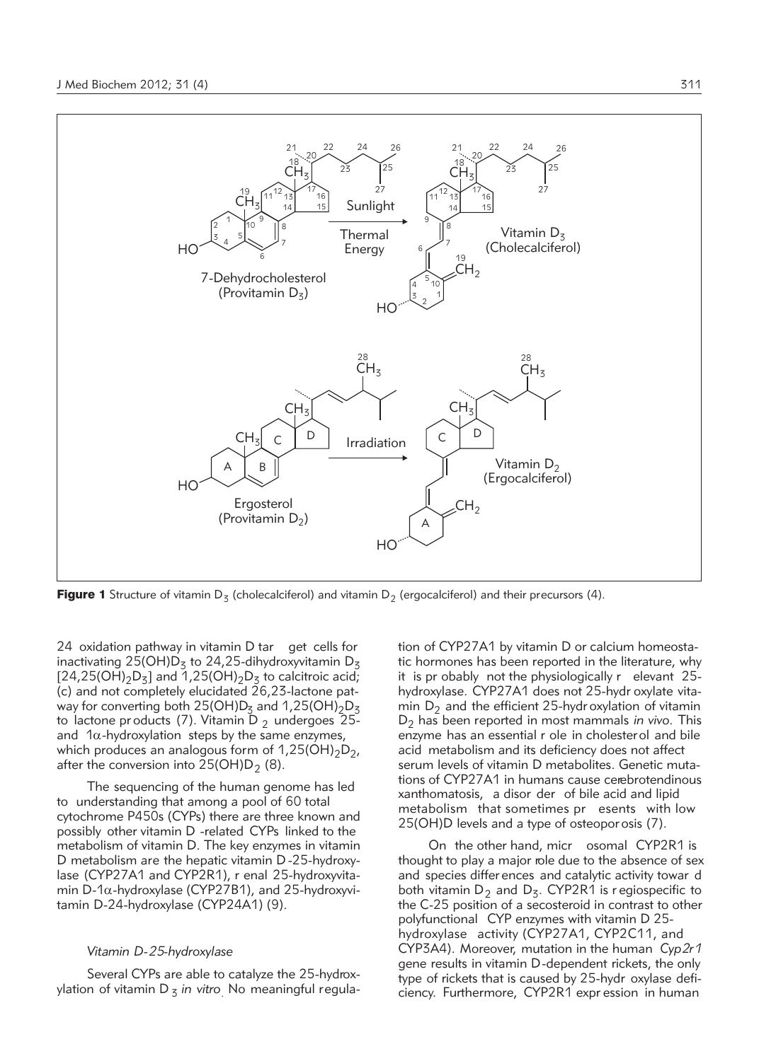

**Figure 1** Structure of vitamin  $D_3$  (cholecalciferol) and vitamin  $D_2$  (ergocalciferol) and their precursors (4).

24 oxidation pathway in vitamin D tar get cells for inactivating 25(OH)D<sub>3</sub> to 24,25-dihydroxyvitamin D<sub>3</sub>  $[24,25(OH)_2D_3]$  and  $[1,25(OH)_2D_5]$  to calcitroic acid; (c) and not completely elucidated  $26,23$ -lactone patway for converting both  $25(OH)D<sub>z</sub>$  and  $1,25(OH)<sub>2</sub>D<sub>z</sub>$ to lactone pr oducts (7). Vitamin D  $_2$  undergoes 25and  $1\alpha$ -hydroxylation steps by the same enzymes, which produces an analogous form of  $1,25(OH)_{2}D_{2}$ , after the conversion into  $25(OH)D<sub>2</sub>$  (8).

The sequencing of the human genome has led to understanding that among a pool of 60 total cytochrome P450s (CYPs) there are three known and possibly other vitamin D -related CYPs linked to the metabolism of vitamin D. The key enzymes in vitamin D metabolism are the hepatic vitamin D -25-hydroxylase (CYP27A1 and CYP2R1), r enal 25-hydroxyvitamin D-1 $\alpha$ -hydroxylase (CYP27B1), and 25-hydroxyvitamin D-24-hydroxylase (CYP24A1) (9).

# *Vitamin D-25-hydroxylase*

Several CYPs are able to catalyze the 25-hydroxylation of vitamin D<sub>3</sub> in vitro. No meaningful regula-

tion of CYP27A1 by vitamin D or calcium homeostatic hormones has been reported in the literature, why it is pr obably not the physiologically r elevant 25 hydroxylase. CYP27A1 does not 25-hydr oxylate vitamin  $D_2$  and the efficient 25-hydr oxylation of vitamin D<sub>2</sub> has been reported in most mammals *in vivo*. This enzyme has an essential r ole in cholesterol and bile acid metabolism and its deficiency does not affect serum levels of vitamin D metabolites. Genetic mutations of CYP27A1 in humans cause cerebrotendinous xanthomatosis, a disor der of bile acid and lipid metabolism that sometimes pr esents with low 25(OH)D levels and a type of osteopor osis (7).

On the other hand, micr osomal CYP2R1 is thought to play a major role due to the absence of sex and species differ ences and catalytic activity towar d both vitamin  $D_2$  and  $D_3$ . CYP2R1 is r egiospecific to the C-25 position of a secosteroid in contrast to other polyfunctional CYP enzymes with vitamin D 25 hydroxylase activity (CYP27A1, CYP2C11, and CYP3A4). Moreover, mutation in the human *Cyp2r1* gene results in vitamin D-dependent rickets, the only type of rickets that is caused by 25-hydr oxylase deficiency. Furthermore, CYP2R1 expr ession in human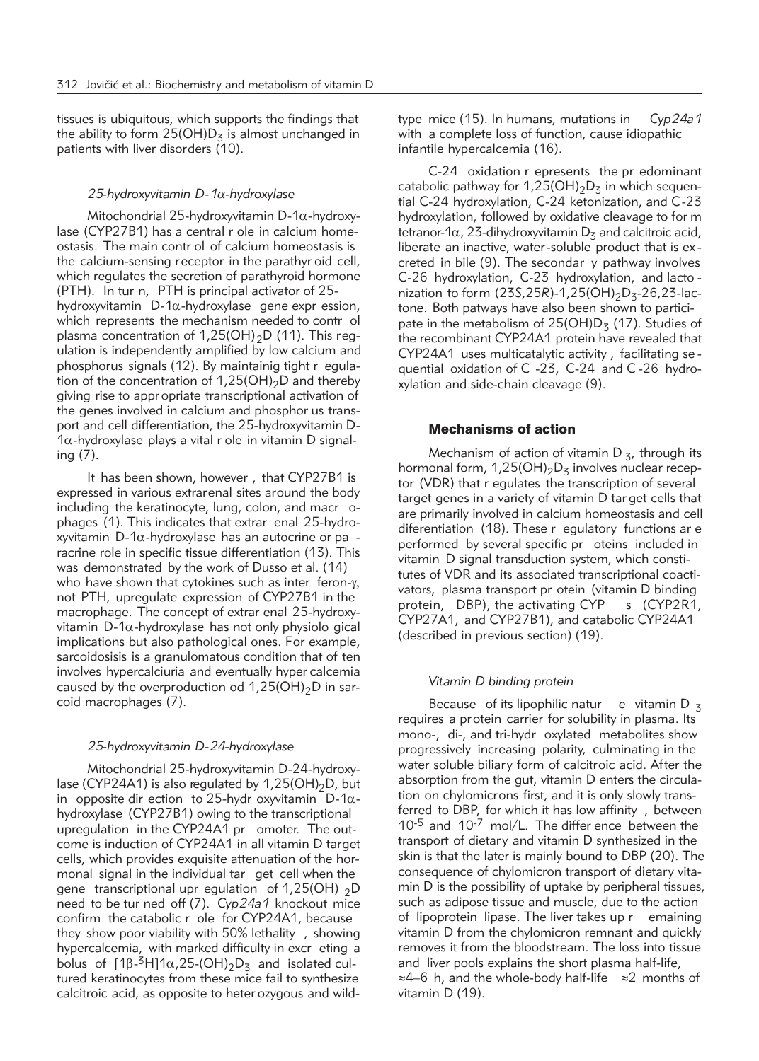tissues is ubiquitous, which supports the findings that the ability to form  $25(OH)D<sub>z</sub>$  is almost unchanged in patients with liver disorders (10).

# *25-hydroxyvitamin D-1*a*-hydroxylase*

Mitochondrial 25-hydroxyvitamin D-1 $\alpha$ -hydroxylase (CYP27B1) has a central r ole in calcium homeostasis. The main contr ol of calcium homeostasis is the calcium-sensing receptor in the parathyr oid cell, which regulates the secretion of parathyroid hormone (PTH). In tur n, PTH is principal activator of 25 hydroxyvitamin  $D$ -1 $\alpha$ -hydroxylase gene expr ession, which represents the mechanism needed to contr ol plasma concentration of 1,25(OH)<sub>2</sub>D (11). This regulation is independently amplified by low calcium and phosphorus signals (12). By maintainig tight r egulation of the concentration of  $1,25(OH)_2D$  and thereby giving rise to appr opriate transcriptional activation of the genes involved in calcium and phosphor us transport and cell differentiation, the 25-hydroxyvitamin D- $1\alpha$ -hydroxylase plays a vital r ole in vitamin D signaling (7).

It has been shown, however , that CYP27B1 is expressed in various extrarenal sites around the body including the keratinocyte, lung, colon, and macr ophages (1). This indicates that extrar enal 25-hydroxyvitamin  $D-1\alpha$ -hydroxylase has an autocrine or pa racrine role in specific tissue differentiation (13). This was demonstrated by the work of Dusso et al. (14) who have shown that cytokines such as inter feron- $\gamma$ , not PTH, upregulate expression of CYP27B1 in the macrophage. The concept of extrar enal 25-hydroxyvitamin  $D$ -1 $\alpha$ -hydroxylase has not only physiolo gical implications but also pathological ones. For example, sarcoidosisis is a granulomatous condition that of ten involves hypercalciuria and eventually hyper calcemia caused by the overproduction od  $1,25(OH)_2D$  in sarcoid macrophages (7).

#### *25-hydroxyvitamin D-24-hydroxylase*

Mitochondrial 25-hydroxyvitamin D-24-hydroxylase (CYP24A1) is also regulated by  $1,25(OH)_2D$ , but in opposite dir ection to 25-hydr oxyvitamin  $D-1\alpha$ hydroxylase (CYP27B1) owing to the transcriptional upregulation in the CYP24A1 pr omoter. The outcome is induction of CYP24A1 in all vitamin D target cells, which provides exquisite attenuation of the hormonal signal in the individual tar get cell when the gene transcriptional upr egulation of 1,25(OH)  $_2$ D need to be tur ned off (7). *Cyp24a1* knockout mice confirm the catabolic r ole for CYP24A1, because they show poor viability with 50% lethality , showing hypercalcemia, with marked difficulty in excr eting a bolus of  $[1\beta - \frac{3}{1}A]$ 1 $\alpha$ , 25-(OH)<sub>2</sub>D<sub>3</sub> and isolated cultured keratinocytes from these mice fail to synthesize calcitroic acid, as opposite to heter ozygous and wildtype mice (15). In humans, mutations in *Cyp24a1* with a complete loss of function, cause idiopathic infantile hypercalcemia (16).

C-24 oxidation r epresents the pr edominant catabolic pathway for 1,25(OH)<sub>2</sub>D<sub>3</sub> in which sequential C-24 hydroxylation, C-24 ketonization, and C-23 hydroxylation, followed by oxidative cleavage to for m tetranor-1 $\alpha$ , 23-dihydroxyvitamin  $D<sub>z</sub>$  and calcitroic acid, liberate an inactive, water-soluble product that is ex creted in bile (9). The secondar y pathway involves C-26 hydroxylation, C-23 hydroxylation, and lacto nization to form (23S,25R)-1,25(OH)<sub>2</sub>D<sub>3</sub>-26,23-lactone. Both patways have also been shown to participate in the metabolism of  $25(OH)D_3$  (17). Studies of the recombinant CYP24A1 protein have revealed that CYP24A1 uses multicatalytic activity , facilitating se quential oxidation of C -23, C-24 and C-26 hydroxylation and side-chain cleavage (9).

# Mechanisms of action

Mechanism of action of vitamin  $D_5$ , through its hormonal form,  $1,25(OH)_2D_3$  involves nuclear receptor (VDR) that r egulates the transcription of several target genes in a variety of vitamin D tar get cells that are primarily involved in calcium homeostasis and cell diferentiation (18). These r egulatory functions ar e performed by several specific pr oteins included in vitamin D signal transduction system, which constitutes of VDR and its associated transcriptional coactivators, plasma transport pr otein (vitamin D binding protein, DBP), the activating CYP s (CYP2R1, CYP27A1, and CYP27B1), and catabolic CYP24A1 (described in previous section) (19).

# *Vitamin D binding protein*

Because of its lipophilic natur e vitamin D  $<sub>z</sub>$ </sub> requires a protein carrier for solubility in plasma. Its mono-, di-, and tri-hydr oxylated metabolites show progressively increasing polarity, culminating in the water soluble biliary form of calcitroic acid. After the absorption from the gut, vitamin D enters the circulation on chylomicrons first, and it is only slowly transferred to DBP, for which it has low affinity , between 10-5 and 10-7 mol/L. The differ ence between the transport of dietary and vitamin D synthesized in the skin is that the later is mainly bound to DBP (20). The consequence of chylomicron transport of dietary vitamin D is the possibility of uptake by peripheral tissues, such as adipose tissue and muscle, due to the action of lipoprotein lipase. The liver takes up r emaining vitamin D from the chylomicron remnant and quickly removes it from the bloodstream. The loss into tissue and liver pools explains the short plasma half-life, ≈4–6 h, and the whole-body half-life ≈2 months of vitamin D (19).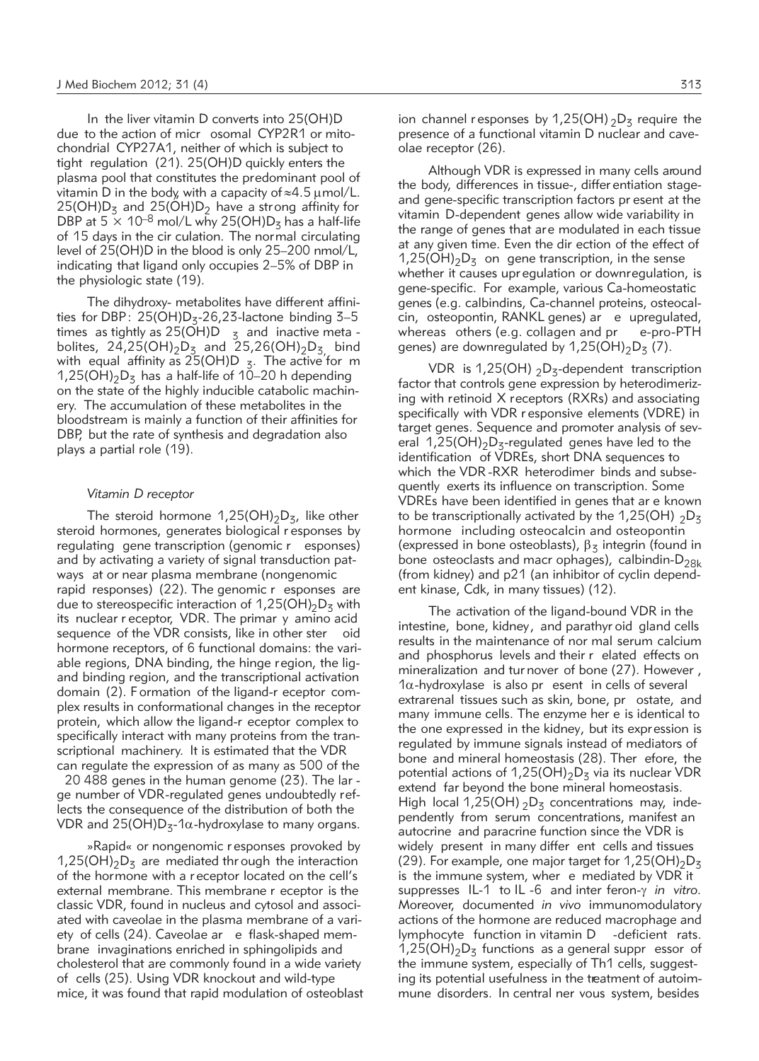In the liver vitamin D converts into 25(OH)D due to the action of micr osomal CYP2R1 or mitochondrial CYP27A1, neither of which is subject to tight regulation (21). 25(OH)D quickly enters the plasma pool that constitutes the predominant pool of vitamin D in the body, with a capacity of  $\approx$ 4.5 µmol/L.  $25(OH)D<sub>z</sub>$  and  $25(OH)D<sub>2</sub>$  have a strong affinity for DBP at  $5 \times 10^{-8}$  mol/L why 25(OH)D<sub>z</sub> has a half-life of 15 days in the cir culation. The normal circulating level of 25(OH)D in the blood is only 25–200 nmol/L, indicating that ligand only occupies 2–5% of DBP in the physiologic state (19).

The dihydroxy- metabolites have different affinities for DBP:  $25(OH)D<sub>z</sub> - 26.23$ -lactone binding  $3-5$ times as tightly as  $25(OH)D_{3/3}$  and inactive meta bolites, 24,25(OH)<sub>2</sub>D<sub>3</sub> and 25,26(OH)<sub>2</sub>D<sub>3,</sub> bind with equal affinity as  $25(OH)D_5$ . The active for m  $1,25(OH)_{2}D_{5}$  has a half-life of 10–20 h depending on the state of the highly inducible catabolic machinery. The accumulation of these metabolites in the bloodstream is mainly a function of their affinities for DBP, but the rate of synthesis and degradation also plays a partial role (19).

#### *Vitamin D receptor*

The steroid hormone 1,25(OH)<sub>2</sub>D<sub>3</sub>, like other steroid hormones, generates biological r esponses by regulating gene transcription (genomic r esponses) and by activating a variety of signal transduction patways at or near plasma membrane (nongenomic rapid responses) (22). The genomic r esponses are due to stereospecific interaction of 1,25(OH)<sub>2</sub>D<sub>3</sub> with its nuclear r eceptor, VDR. The primar y amino acid sequence of the VDR consists, like in other ster oid hormone receptors, of 6 functional domains: the variable regions, DNA binding, the hinge region, the ligand binding region, and the transcriptional activation domain (2). Formation of the ligand-r eceptor complex results in conformational changes in the receptor protein, which allow the ligand-r eceptor complex to specifically interact with many proteins from the transcriptional machinery. It is estimated that the VDR can regulate the expression of as many as 500 of the

20 488 genes in the human genome (23). The lar ge number of VDR-regulated genes undoubtedly reflects the consequence of the distribution of both the VDR and  $25(OH)D<sub>z</sub>$ -1 $\alpha$ -hydroxylase to many organs.

»Rapid« or nongenomic r esponses provoked by 1,25(OH)<sub>2</sub>D<sub>z</sub> are mediated thr ough the interaction of the hormone with a r eceptor located on the cell's external membrane. This membrane r eceptor is the classic VDR, found in nucleus and cytosol and associated with caveolae in the plasma membrane of a variety of cells (24). Caveolae ar e flask-shaped membrane invaginations enriched in sphingolipids and cholesterol that are commonly found in a wide variety of cells (25). Using VDR knockout and wild-type mice, it was found that rapid modulation of osteoblast

Although VDR is expressed in many cells around the body, differences in tissue-, differ entiation stageand gene-specific transcription factors pr esent at the vitamin D-dependent genes allow wide variability in the range of genes that are modulated in each tissue at any given time. Even the dir ection of the effect of  $1,25(OH)_2D_5$  on gene transcription, in the sense whether it causes upr egulation or downregulation, is gene-specific. For example, various Ca-homeostatic genes (e.g. calbindins, Ca-channel proteins, osteocalcin, osteopontin, RANKL genes) ar e upregulated, whereas others (e.g. collagen and pr e-pro-PTH genes) are downregulated by 1,25(OH)<sub>2</sub>D<sub>3</sub> (7).

VDR is 1,25(OH)  $_2D_5$ -dependent transcription factor that controls gene expression by heterodimerizing with retinoid X receptors (RXRs) and associating specifically with VDR r esponsive elements (VDRE) in target genes. Sequence and promoter analysis of several  $1,25(OH)_2D_3$ -regulated genes have led to the identification of VDREs, short DNA sequences to which the VDR -RXR heterodimer binds and subsequently exerts its influence on transcription. Some VDREs have been identified in genes that ar e known to be transcriptionally activated by the 1,25(OH)  $_2D_5$ hormone including osteocalcin and osteopontin (expressed in bone osteoblasts),  $\beta_5$  integrin (found in bone osteoclasts and macr ophages), calbindin- $D_{28k}$ (from kidney) and p21 (an inhibitor of cyclin dependent kinase, Cdk, in many tissues) (12).

The activation of the ligand-bound VDR in the intestine, bone, kidney, and parathyr oid gland cells results in the maintenance of nor mal serum calcium and phosphorus levels and their r elated effects on mineralization and tur nover of bone (27). However ,  $1\alpha$ -hydroxylase is also pr esent in cells of several extrarenal tissues such as skin, bone, pr ostate, and many immune cells. The enzyme her e is identical to the one expressed in the kidney, but its expression is regulated by immune signals instead of mediators of bone and mineral homeostasis (28). Ther efore, the potential actions of 1,25(OH)<sub>2</sub>D<sub>3</sub> via its nuclear VDR extend far beyond the bone mineral homeostasis. High local 1,25(OH)  $_2D_3$  concentrations may, independently from serum concentrations, manifest an autocrine and paracrine function since the VDR is widely present in many differ ent cells and tissues (29). For example, one major target for  $1,25(OH)_2D_5$ is the immune system, wher e mediated by VDR it suppresses IL-1 to IL -6 and inter feron-g *in vitro.* Moreover, documented *in vivo* immunomodulatory actions of the hormone are reduced macrophage and lymphocyte function in vitamin D -deficient rats.  $1,25(OH)_{2}D_{5}$  functions as a general suppr essor of the immune system, especially of Th1 cells, suggesting its potential usefulness in the treatment of autoimmune disorders. In central ner vous system, besides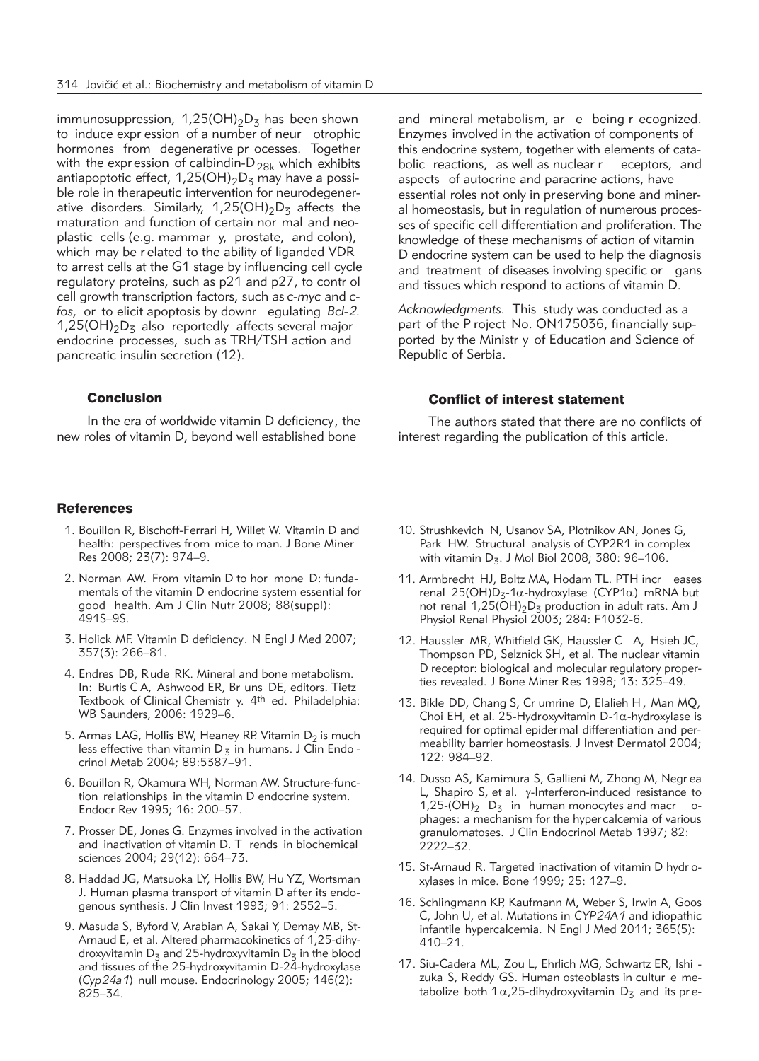immunosuppression,  $1,25(OH)_2D_5$  has been shown to induce expr ession of a number of neur otrophic hormones from degenerative pr ocesses. Together with the expression of calbindin- $D_{28k}$  which exhibits antiapoptotic effect,  $1,25(OH)_2D_3$  may have a possible role in therapeutic intervention for neurodegenerative disorders. Similarly,  $1,25(OH)_2D_3$  affects the maturation and function of certain nor mal and neoplastic cells (e.g. mammar y, prostate, and colon), which may be r elated to the ability of liganded VDR to arrest cells at the G1 stage by influencing cell cycle regulatory proteins, such as p21 and p27, to contr ol cell growth transcription factors, such as *c-myc* and *cfos,* or to elicit apoptosis by downr egulating *Bcl-2.*  $1,25(OH)_2D_5$  also reportedly affects several major endocrine processes, such as TRH/TSH action and pancreatic insulin secretion (12).

# Conclusion

In the era of worldwide vitamin D deficiency, the new roles of vitamin D, beyond well established bone

#### **References**

- 1. Bouillon R, Bischoff-Ferrari H, Willet W. Vitamin D and health: perspectives from mice to man. J Bone Miner Res 2008; 23(7): 974–9.
- 2. Norman AW. From vitamin D to hor mone D: fundamentals of the vitamin D endocrine system essential for good health. Am J Clin Nutr 2008; 88(suppl): 491S–9S.
- 3. Holick MF. Vitamin D deficiency. N Engl J Med 2007; 357(3): 266–81.
- 4. Endres DB, Rude RK. Mineral and bone metabolism. In: Burtis C A, Ashwood ER, Br uns DE, editors. Tietz Textbook of Clinical Chemistr y. 4th ed. Philadelphia: WB Saunders, 2006: 1929–6.
- 5. Armas LAG, Hollis BW, Heaney RP. Vitamin  $D_2$  is much less effective than vitamin  $D_5$  in humans. J Clin Endo crinol Metab 2004; 89:5387–91.
- 6. Bouillon R, Okamura WH, Norman AW. Structure-function relationships in the vitamin D endocrine system. Endocr Rev 1995; 16: 200–57.
- 7. Prosser DE, Jones G. Enzymes involved in the activation and inactivation of vitamin D. T rends in biochemical sciences 2004; 29(12): 664–73.
- 8. Haddad JG, Matsuoka LY, Hollis BW, Hu YZ, Wortsman J. Human plasma transport of vitamin D after its endogenous synthesis. J Clin Invest 1993; 91: 2552–5.
- 9. Masuda S, Byford V, Arabian A, Sakai Y, Demay MB, St-Arnaud E, et al. Altered pharmacokinetics of 1,25-dihydroxyvitamin  $D_5$  and 25-hydroxyvitamin  $D_5$  in the blood and tissues of the 25-hydroxyvitamin D-24-hydroxylase (*Cyp24a1*) null mouse. Endocrinology 2005; 146(2): 825–34.

and mineral metabolism, ar e being r ecognized. Enzymes involved in the activation of components of this endocrine system, together with elements of catabolic reactions, as well as nuclear r eceptors, and aspects of autocrine and paracrine actions, have essential roles not only in preserving bone and mineral homeostasis, but in regulation of numerous processes of specific cell differentiation and proliferation. The knowledge of these mechanisms of action of vitamin D endocrine system can be used to help the diagnosis and treatment of diseases involving specific or gans and tissues which respond to actions of vitamin D.

*Acknowledgments.* This study was conducted as a part of the P roject No. ON175036, financially supported by the Ministr y of Education and Science of Republic of Serbia.

# Conflict of interest statement

The authors stated that there are no conflicts of interest regarding the publication of this article.

- 10. Strushkevich N, Usanov SA, Plotnikov AN, Jones G, Park HW. Structural analysis of CYP2R1 in complex with vitamin  $D_5$ . J Mol Biol 2008; 380: 96-106.
- 11. Armbrecht HJ, Boltz MA, Hodam TL. PTH incr eases renal 25(OH)D<sub>3</sub>-1 $\alpha$ -hydroxylase (CYP1 $\alpha$ ) mRNA but not renal  $1,25(OH)_2D_3$  production in adult rats. Am J Physiol Renal Physiol 2003; 284: F1032-6.
- 12. Haussler MR, Whitfield GK, Haussler C A, Hsieh JC, Thompson PD, Selznick SH, et al. The nuclear vitamin D receptor: biological and molecular regulatory properties revealed. J Bone Miner Res 1998; 13: 325–49.
- 13. Bikle DD, Chang S, Cr umrine D, Elalieh H , Man MQ, Choi EH, et al. 25-Hydroxyvitamin D-1 $\alpha$ -hydroxylase is required for optimal epider mal differentiation and permeability barrier homeostasis. J Invest Dermatol 2004; 122: 984–92.
- 14. Dusso AS, Kamimura S, Gallieni M, Zhong M, Negr ea L, Shapiro S, et al.  $\gamma$ -Interferon-induced resistance to 1,25-(OH) $_2$  D<sub>3</sub> in human monocytes and macr ophages: a mechanism for the hypercalcemia of various granulomatoses. J Clin Endocrinol Metab 1997; 82: 2222–32.
- 15. St-Arnaud R. Targeted inactivation of vitamin D hydr oxylases in mice. Bone 1999; 25: 127–9.
- 16. Schlingmann KP, Kaufmann M, Weber S, Irwin A, Goos C, John U, et al. Mutations in *CYP24A1* and idiopathic infantile hypercalcemia. N Engl J Med 2011; 365(5): 410–21.
- 17. Siu-Cadera ML, Zou L, Ehrlich MG, Schwartz ER, Ishi zuka S, Reddy GS. Human osteoblasts in cultur e metabolize both 1  $\alpha$ , 25-dihydroxyvitamin D<sub>3</sub> and its pre-